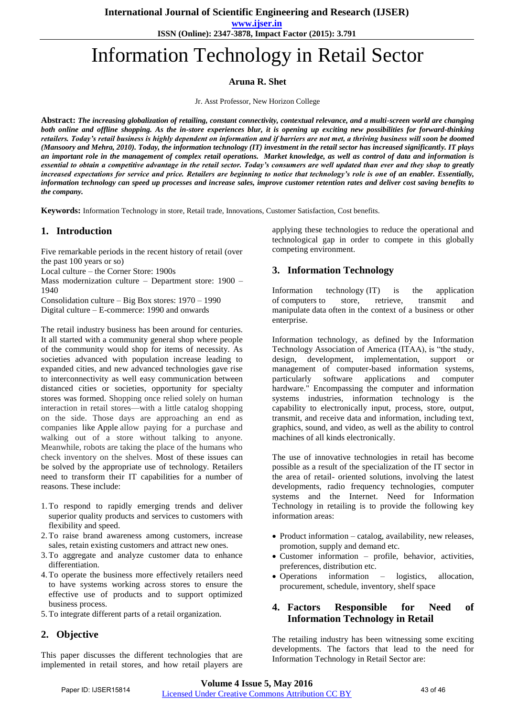**International Journal of Scientific Engineering and Research (IJSER)** 

**www.ijser.in**

**ISSN (Online): 2347-3878, Impact Factor (2015): 3.791**

# Information Technology in Retail Sector

## **Aruna R. Shet**

Jr. Asst Professor, New Horizon College

**Abstract:** *The increasing globalization of retailing, constant connectivity, contextual relevance, and a multi-screen world are changing both online and offline shopping. As the in-store experiences blur, it is opening up exciting new possibilities for forward-thinking retailers. Today's retail business is highly dependent on information and if barriers are not met, a thriving business will soon be doomed (Mansoory and Mehra, 2010). Today, the information technology (IT) investment in the retail sector has increased significantly. IT plays an important role in the management of complex retail operations. Market knowledge, as well as control of data and information is essential to obtain a competitive advantage in the retail sector. Today's consumers are well updated than ever and they shop to greatly increased expectations for service and price. Retailers are beginning to notice that technology's role is one of an enabler. Essentially, information technology can speed up processes and increase sales, improve customer retention rates and deliver cost saving benefits to the company.* 

**Keywords:** Information Technology in store, Retail trade, Innovations, Customer Satisfaction, Cost benefits.

## **1. Introduction**

Five remarkable periods in the recent history of retail (over the past 100 years or so)

Local culture – the Corner Store: 1900s

Mass modernization culture – Department store: 1900 – 1940

Consolidation culture – Big Box stores: 1970 – 1990 Digital culture – E-commerce: 1990 and onwards

The retail industry business has been around for centuries. It all started with a community general shop where people of the community would shop for items of necessity. As societies advanced with population increase leading to expanded cities, and new advanced technologies gave rise to interconnectivity as well easy communication between distanced cities or societies, opportunity for specialty stores was formed. Shopping once relied solely on human interaction in retail stores—with a little catalog shopping on the side. Those days are approaching an end as companies like [Apple](http://www.businessinsider.com/blackboard/apple) allow paying for a purchase and walking out of a store without talking to anyone. Meanwhile, robots are taking the place of the humans who check inventory on the shelves. Most of these issues can be solved by the appropriate use of technology. Retailers need to transform their IT capabilities for a number of reasons. These include:

- 1.To respond to rapidly emerging trends and deliver superior quality products and services to customers with flexibility and speed.
- 2.To raise brand awareness among customers, increase sales, retain existing customers and attract new ones.
- 3.To aggregate and analyze customer data to enhance differentiation.
- 4.To operate the business more effectively retailers need to have systems working across stores to ensure the effective use of products and to support optimized business process.
- 5.To integrate different parts of a retail organization.

## **2. Objective**

This paper discusses the different technologies that are implemented in retail stores, and how retail players are

applying these technologies to reduce the operational and technological gap in order to compete in this globally competing environment.

## **3. Information Technology**

Information technology (IT) is the application of [computers](https://en.wikipedia.org/wiki/Computer) to store, retrieve, transmit and manipulate [data](https://en.wikipedia.org/wiki/Data_(computing)) often in the context of a business or other enterprise.

Information technology, as defined by the Information Technology Association of America (ITAA), is "the study, design, development, implementation, support or management of computer-based information systems, particularly software applications and computer hardware." Encompassing the computer and information systems industries, information technology is the capability to electronically input, process, store, output, transmit, and receive data and information, including text, graphics, sound, and video, as well as the ability to control machines of all kinds electronically.

The use of innovative technologies in retail has become possible as a result of the specialization of the IT sector in the area of retail- oriented solutions, involving the latest developments, radio frequency technologies, computer systems and the Internet. Need for Information Technology in retailing is to provide the following key information areas:

- Product information catalog, availability, new releases, promotion, supply and demand etc.
- Customer information profile, behavior, activities, preferences, distribution etc.
- Operations information logistics, allocation, procurement, schedule, inventory, shelf space

## **4. Factors Responsible for Need of Information Technology in Retail**

The retailing industry has been witnessing some exciting developments. The factors that lead to the need for Information Technology in Retail Sector are: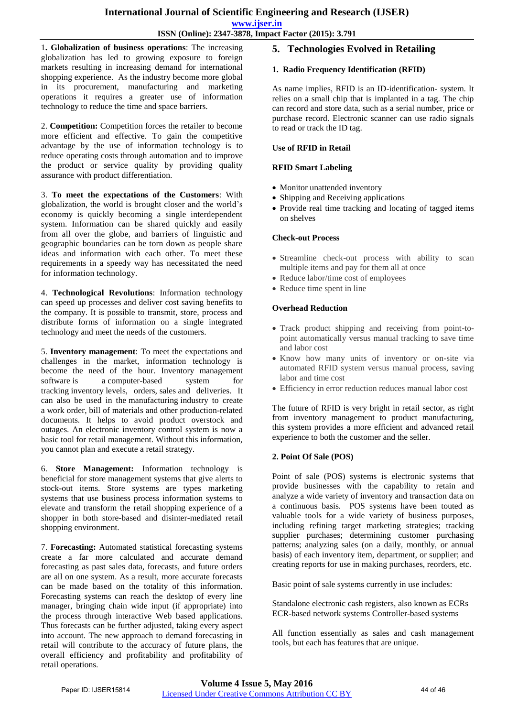1**. Globalization of business operations**: The increasing globalization has led to growing exposure to foreign markets resulting in increasing demand for international shopping experience. As the industry become more global in its procurement, manufacturing and marketing operations it requires a greater use of information technology to reduce the time and space barriers.

2. **Competition:** Competition forces the retailer to become more efficient and effective. To gain the competitive advantage by the use of information technology is to reduce operating costs through automation and to improve the product or service quality by providing quality assurance with product differentiation.

3. **To meet the expectations of the Customers**: With globalization, the world is brought closer and the world's economy is quickly becoming a single interdependent system. Information can be shared quickly and easily from all over the globe, and barriers of linguistic and geographic boundaries can be torn down as people share ideas and information with each other. To meet these requirements in a speedy way has necessitated the need for information technology.

4. **Technological Revolutions**: Information technology can speed up processes and deliver cost saving benefits to the company. It is possible to transmit, store, process and distribute forms of information on a single integrated technology and meet the needs of the customers.

5. **Inventory management**: To meet the expectations and challenges in the market, information technology is become the need of the hour. Inventory management software is a [computer-](https://en.wikipedia.org/wiki/Computer)based system for tracking [inventory](https://en.wikipedia.org/wiki/Inventory) levels, orders, [sales](https://en.wikipedia.org/wiki/Sales) and deliveries. It can also be used in the [manufacturing i](https://en.wikipedia.org/wiki/Manufacturing)ndustry to create a [work order,](https://en.wikipedia.org/wiki/Work_order) [bill of materials](https://en.wikipedia.org/wiki/Bill_of_materials) and other production-related documents. It helps to avoid product overstock and outages. An electronic inventory control system is now a basic tool for retail management. Without this information, you cannot plan and execute a retail strategy.

6. **Store Management:** Information technology is beneficial for store management systems that give alerts to stock-out items. Store systems are types marketing systems that use business process information systems to elevate and transform the retail shopping experience of a shopper in both store-based and disinter-mediated retail shopping environment.

7. **Forecasting:** Automated statistical forecasting systems create a far more calculated and accurate demand forecasting as past sales data, forecasts, and future orders are all on one system. As a result, more accurate forecasts can be made based on the totality of this information. Forecasting systems can reach the desktop of every line manager, bringing chain wide input (if appropriate) into the process through interactive Web based applications. Thus forecasts can be further adjusted, taking every aspect into account. The new approach to demand forecasting in retail will contribute to the accuracy of future plans, the overall efficiency and profitability and profitability of retail operations.

# **5. Technologies Evolved in Retailing**

## **1. Radio Frequency Identification (RFID)**

As name implies, RFID is an ID-identification- system. It relies on a small chip that is implanted in a tag. The chip can record and store data, such as a serial number, price or purchase record. Electronic scanner can use radio signals to read or track the ID tag.

## **Use of RFID in Retail**

## **RFID Smart Labeling**

- Monitor unattended inventory
- Shipping and Receiving applications
- Provide real time tracking and locating of tagged items on shelves

## **Check-out Process**

- Streamline check-out process with ability to scan multiple items and pay for them all at once
- Reduce labor/time cost of employees
- Reduce time spent in line

#### **Overhead Reduction**

- Track product shipping and receiving from point-topoint automatically versus manual tracking to save time and labor cost
- Know how many units of inventory or on-site via automated RFID system versus manual process, saving labor and time cost
- Efficiency in error reduction reduces manual labor cost

The future of RFID is very bright in retail sector, as right from inventory management to product manufacturing, this system provides a more efficient and advanced retail experience to both the customer and the seller.

#### **2. Point Of Sale (POS)**

Point of sale (POS) systems is electronic systems that provide businesses with the capability to retain and analyze a wide variety of inventory and transaction data on a continuous basis. POS systems have been touted as valuable tools for a wide variety of business purposes, including refining target marketing strategies; tracking supplier purchases; determining customer purchasing patterns; analyzing sales (on a daily, monthly, or annual basis) of each inventory item, department, or supplier; and creating reports for use in making purchases, reorders, etc.

Basic point of sale systems currently in use includes:

Standalone electronic cash registers, also known as ECRs ECR-based network systems Controller-based systems

All function essentially as sales and cash management tools, but each has features that are unique.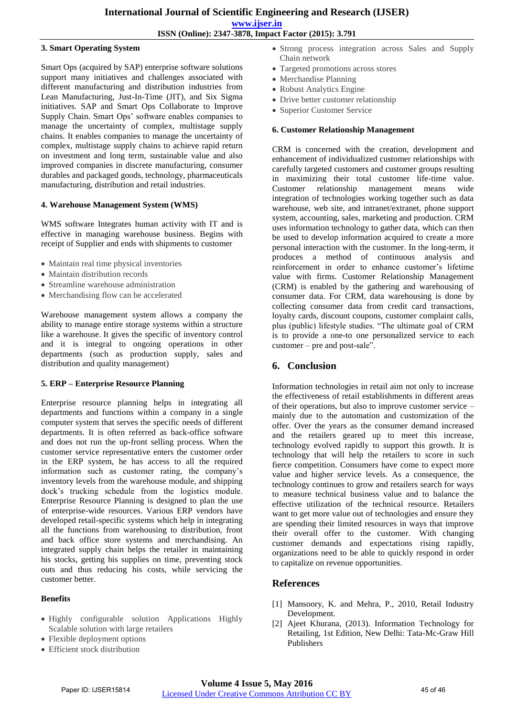#### **3. Smart Operating System**

Smart Ops (acquired by SAP) enterprise software solutions support many initiatives and challenges associated with different manufacturing and distribution industries from Lean Manufacturing, Just-In-Time (JIT), and Six Sigma initiatives. SAP and Smart Ops Collaborate to Improve Supply Chain. Smart Ops' software enables companies to manage the uncertainty of complex, multistage supply chains. It enables companies to manage the uncertainty of complex, multistage supply chains to achieve rapid return on investment and long term, sustainable value and also improved companies in discrete manufacturing, consumer durables and packaged goods, technology, pharmaceuticals manufacturing, distribution and retail industries.

#### **4. Warehouse Management System (WMS)**

WMS software Integrates human activity with IT and is effective in managing warehouse business. Begins with receipt of Supplier and ends with shipments to customer

- Maintain real time physical inventories
- Maintain distribution records
- Streamline warehouse administration
- Merchandising flow can be accelerated

Warehouse management system allows a company the ability to manage entire storage systems within a structure like a warehouse. It gives the specific of inventory control and it is integral to ongoing operations in other departments (such as production supply, sales and distribution and quality management)

#### **5. ERP – Enterprise Resource Planning**

Enterprise resource planning helps in integrating all departments and functions within a company in a single computer system that serves the specific needs of different departments. It is often referred as back-office software and does not run the up-front selling process. When the customer service representative enters the customer order in the ERP system, he has access to all the required information such as customer rating, the company's inventory levels from the warehouse module, and shipping dock's trucking schedule from the logistics module. Enterprise Resource Planning is designed to plan the use of enterprise-wide resources. Various ERP vendors have developed retail-specific systems which help in integrating all the functions from warehousing to distribution, front and back office store systems and merchandising. An integrated supply chain helps the retailer in maintaining his stocks, getting his supplies on time, preventing stock outs and thus reducing his costs, while servicing the customer better.

#### **Benefits**

- Highly configurable solution Applications Highly Scalable solution with large retailers
- Flexible deployment options
- Efficient stock distribution
- Strong process integration across Sales and Supply Chain network
- Targeted promotions across stores
- Merchandise Planning
- Robust Analytics Engine
- Drive better customer relationship
- Superior Customer Service

#### **6. Customer Relationship Management**

CRM is concerned with the creation, development and enhancement of individualized customer relationships with carefully targeted customers and customer groups resulting in maximizing their total customer life-time value. Customer relationship management means wide integration of technologies working together such as data warehouse, web site, and intranet/extranet, phone support system, accounting, sales, marketing and production. CRM uses information technology to gather data, which can then be used to develop information acquired to create a more personal interaction with the customer. In the long-term, it produces a method of continuous analysis and reinforcement in order to enhance customer's lifetime value with firms. Customer Relationship Management (CRM) is enabled by the gathering and warehousing of consumer data. For CRM, data warehousing is done by collecting consumer data from credit card transactions, loyalty cards, discount coupons, customer complaint calls, plus (public) lifestyle studies. "The ultimate goal of CRM is to provide a one-to one personalized service to each customer – pre and post-sale".

## **6. Conclusion**

Information technologies in retail aim not only to increase the effectiveness of retail establishments in different areas of their operations, but also to improve customer service – mainly due to the automation and customization of the offer. Over the years as the consumer demand increased and the retailers geared up to meet this increase, technology evolved rapidly to support this growth. It is technology that will help the retailers to score in such fierce competition. Consumers have come to expect more value and higher service levels. As a consequence, the technology continues to grow and retailers search for ways to measure technical business value and to balance the effective utilization of the technical resource. Retailers want to get more value out of technologies and ensure they are spending their limited resources in ways that improve their overall offer to the customer. With changing customer demands and expectations rising rapidly, organizations need to be able to quickly respond in order to capitalize on revenue opportunities.

## **References**

- [1] Mansoory, K. and Mehra, P., 2010, Retail Industry Development.
- [2] Ajeet Khurana, (2013). Information Technology for Retailing, 1st Edition, New Delhi: Tata-Mc-Graw Hill Publishers